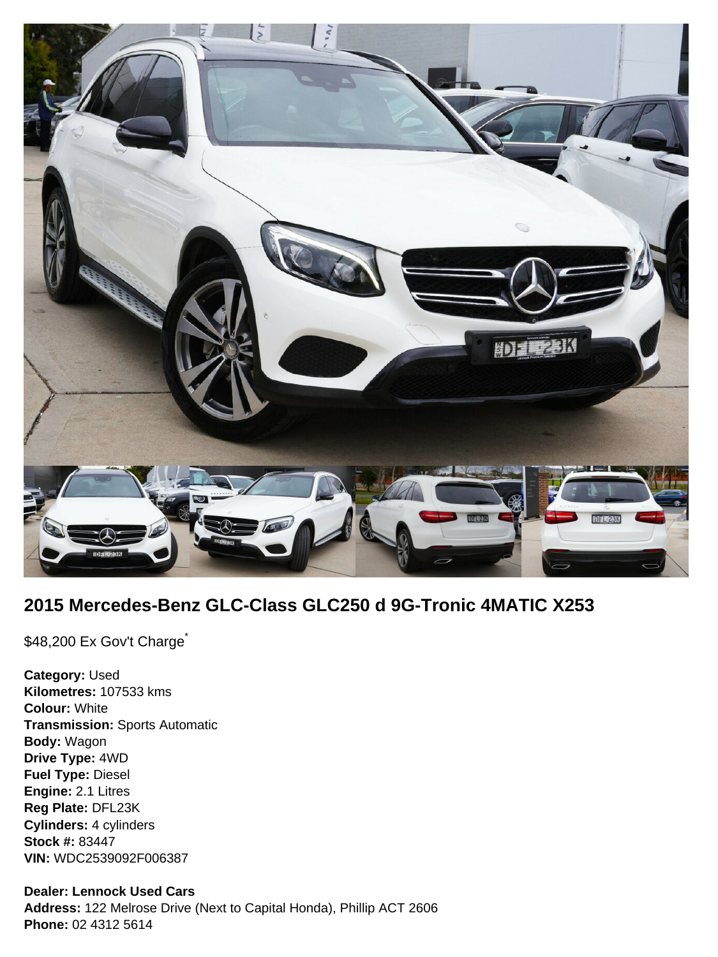

# **2015 Mercedes-Benz GLC-Class GLC250 d 9G-Tronic 4MATIC X253**

\$48,200 Ex Gov't Charge<sup>\*</sup>

**Category:** Used **Kilometres:** 107533 kms **Colour:** White **Transmission:** Sports Automatic **Body:** Wagon **Drive Type:** 4WD **Fuel Type:** Diesel **Engine:** 2.1 Litres **Reg Plate:** DFL23K **Cylinders:** 4 cylinders **Stock #:** 83447 **VIN:** WDC2539092F006387

#### **Dealer: Lennock Used Cars**

**Address:** 122 Melrose Drive (Next to Capital Honda), Phillip ACT 2606 **Phone:** 02 4312 5614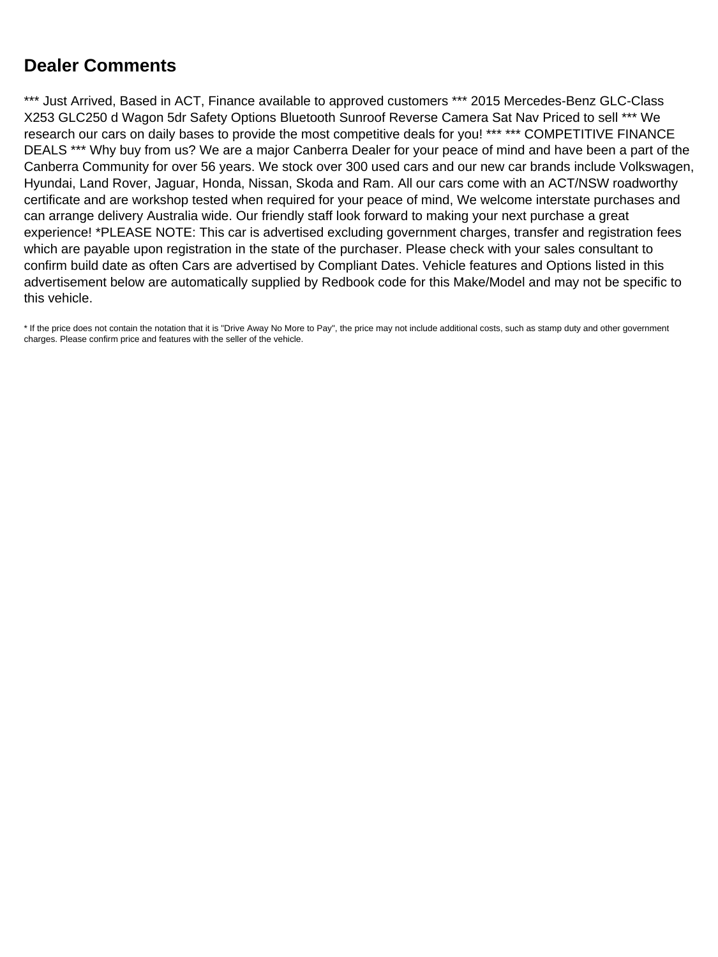# **Dealer Comments**

\*\*\* Just Arrived, Based in ACT, Finance available to approved customers \*\*\* 2015 Mercedes-Benz GLC-Class X253 GLC250 d Wagon 5dr Safety Options Bluetooth Sunroof Reverse Camera Sat Nav Priced to sell \*\*\* We research our cars on daily bases to provide the most competitive deals for you! \*\*\* \*\*\* COMPETITIVE FINANCE DEALS \*\*\* Why buy from us? We are a major Canberra Dealer for your peace of mind and have been a part of the Canberra Community for over 56 years. We stock over 300 used cars and our new car brands include Volkswagen, Hyundai, Land Rover, Jaguar, Honda, Nissan, Skoda and Ram. All our cars come with an ACT/NSW roadworthy certificate and are workshop tested when required for your peace of mind, We welcome interstate purchases and can arrange delivery Australia wide. Our friendly staff look forward to making your next purchase a great experience! \*PLEASE NOTE: This car is advertised excluding government charges, transfer and registration fees which are payable upon registration in the state of the purchaser. Please check with your sales consultant to confirm build date as often Cars are advertised by Compliant Dates. Vehicle features and Options listed in this advertisement below are automatically supplied by Redbook code for this Make/Model and may not be specific to this vehicle.

\* If the price does not contain the notation that it is "Drive Away No More to Pay", the price may not include additional costs, such as stamp duty and other government charges. Please confirm price and features with the seller of the vehicle.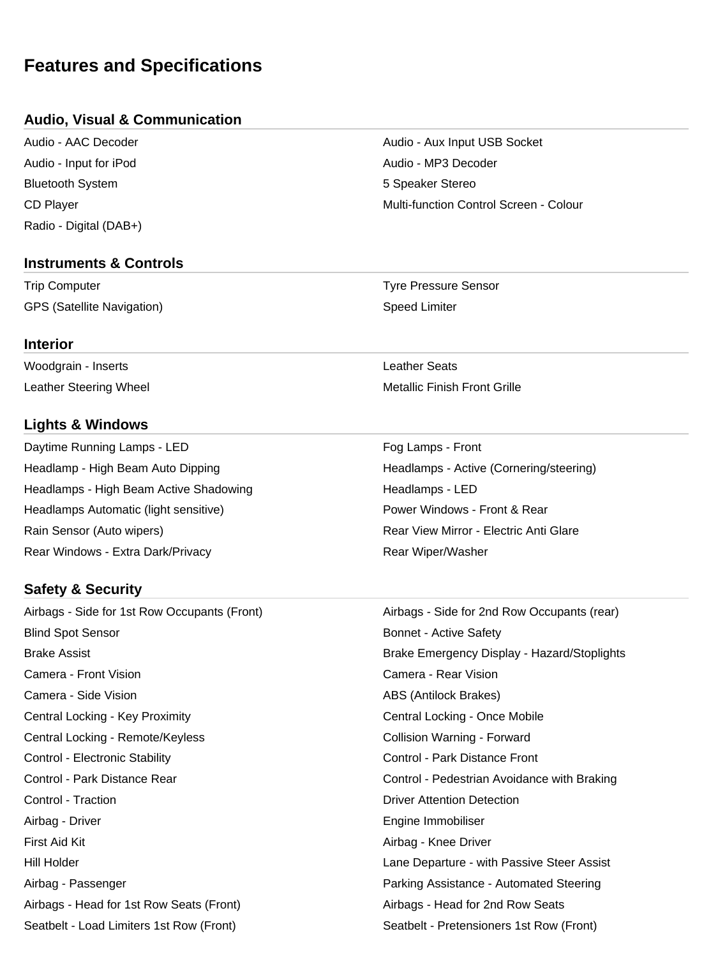# **Features and Specifications**

### **Audio, Visual & Communication**

Audio - Input for iPod Audio - MP3 Decoder Bluetooth System **5 Speaker Stereo** 5 Speaker Stereo Radio - Digital (DAB+)

#### **Instruments & Controls**

Trip Computer Trip Computer Computer Computer Computer Computer Computer Tyre Pressure Sensor GPS (Satellite Navigation) Speed Limiter Speed Limiter

#### **Interior**

Woodgrain - Inserts **Leather Seats** 

## **Lights & Windows**

Daytime Running Lamps - LED For the Control of the Control of Trumps - Front Headlamp - High Beam Auto Dipping **Headlamps - Active (Cornering/steering)** Headlamps - Active (Cornering/steering) Headlamps - High Beam Active Shadowing **Headlamps - LED** Headlamps Automatic (light sensitive) **Power Windows - Front & Rear** Power Windows - Front & Rear Rain Sensor (Auto wipers) The Community Rear View Mirror - Electric Anti Glare Rear Windows - Extra Dark/Privacy **Rear Windows** - Extra Dark/Privacy

## **Safety & Security**

Airbags - Side for 1st Row Occupants (Front) Airbags - Side for 2nd Row Occupants (rear) Blind Spot Sensor Bonnet - Active Safety Brake Assist Brake Emergency Display - Hazard/Stoplights Camera - Front Vision Camera - Rear Vision Camera - Side Vision **ABS (Antilock Brakes)** ABS (Antilock Brakes) Central Locking - Key Proximity **Central Locking - Once Mobile** Central Locking - Once Mobile Central Locking - Remote/Keyless Central Locking - Forward Control - Electronic Stability Control - Park Distance Front Control - Park Distance Rear Control - Pedestrian Avoidance with Braking Control - Traction **Control - Traction** Detection Detection Detection Detection Airbag - Driver **Engine Immobiliser** Engine Immobiliser First Aid Kit Airbag - Knee Driver Hill Holder **Lane Departure - with Passive Steer Assist** Airbag - Passenger Parking Assistance - Automated Steering Airbags - Head for 1st Row Seats (Front) Airbags - Head for 2nd Row Seats Seatbelt - Load Limiters 1st Row (Front) Seatbelt - Pretensioners 1st Row (Front)

Audio - AAC Decoder **Audio - Audio - Audio - Aux Input USB Socket** CD Player Multi-function Control Screen - Colour

Leather Steering Wheel **Metallic Finish Front Grille**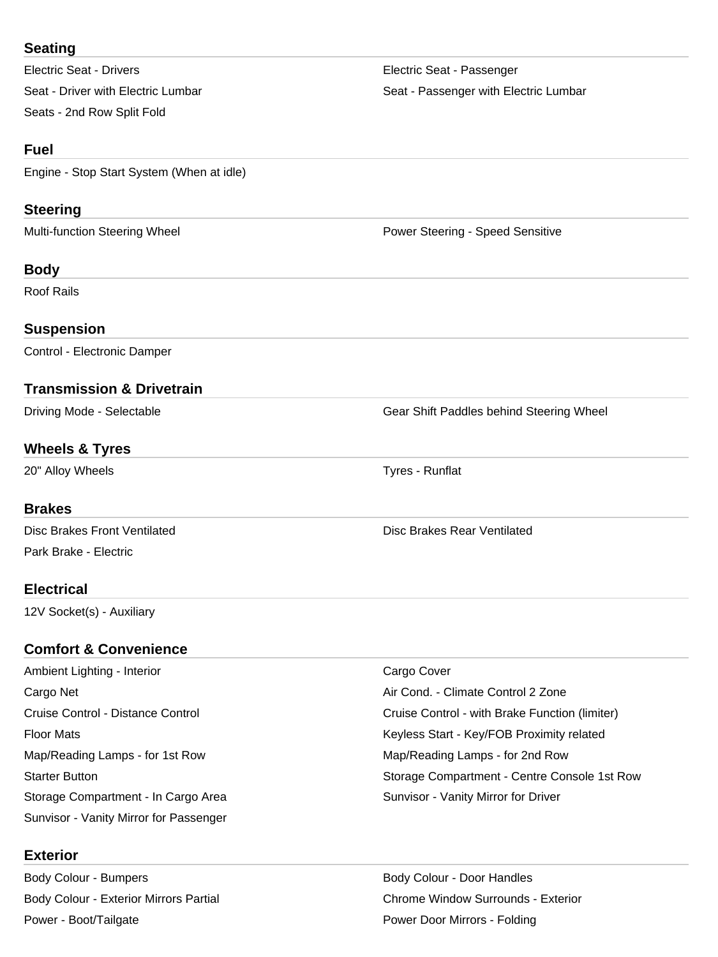| <b>Seating</b>                            |                                                |
|-------------------------------------------|------------------------------------------------|
| <b>Electric Seat - Drivers</b>            | Electric Seat - Passenger                      |
| Seat - Driver with Electric Lumbar        | Seat - Passenger with Electric Lumbar          |
| Seats - 2nd Row Split Fold                |                                                |
| <b>Fuel</b>                               |                                                |
| Engine - Stop Start System (When at idle) |                                                |
| <b>Steering</b>                           |                                                |
| Multi-function Steering Wheel             | Power Steering - Speed Sensitive               |
| <b>Body</b>                               |                                                |
| <b>Roof Rails</b>                         |                                                |
| <b>Suspension</b>                         |                                                |
| Control - Electronic Damper               |                                                |
| <b>Transmission &amp; Drivetrain</b>      |                                                |
| Driving Mode - Selectable                 | Gear Shift Paddles behind Steering Wheel       |
| <b>Wheels &amp; Tyres</b>                 |                                                |
| 20" Alloy Wheels                          | Tyres - Runflat                                |
| <b>Brakes</b>                             |                                                |
| <b>Disc Brakes Front Ventilated</b>       | <b>Disc Brakes Rear Ventilated</b>             |
| Park Brake - Electric                     |                                                |
| <b>Electrical</b>                         |                                                |
| 12V Socket(s) - Auxiliary                 |                                                |
| <b>Comfort &amp; Convenience</b>          |                                                |
| Ambient Lighting - Interior               | Cargo Cover                                    |
| Cargo Net                                 | Air Cond. - Climate Control 2 Zone             |
| Cruise Control - Distance Control         | Cruise Control - with Brake Function (limiter) |
|                                           |                                                |

Floor Mats **Floor Mats Keyless Start - Key/FOB Proximity related** Map/Reading Lamps - for 1st Row Map/Reading Lamps - for 2nd Row Starter Button Starter Button Storage Compartment - Centre Console 1st Row Storage Compartment - In Cargo Area Sundam Sunvisor - Vanity Mirror for Driver Sunvisor - Vanity Mirror for Passenger

#### **Exterior**

Body Colour - Bumpers **Body Colour - Door Handles** Power - Boot/Tailgate **Power Door Mirrors - Folding** 

# Body Colour - Exterior Mirrors Partial **Chrome Window Surrounds - Exterior** Chrome Window Surrounds - Exterior